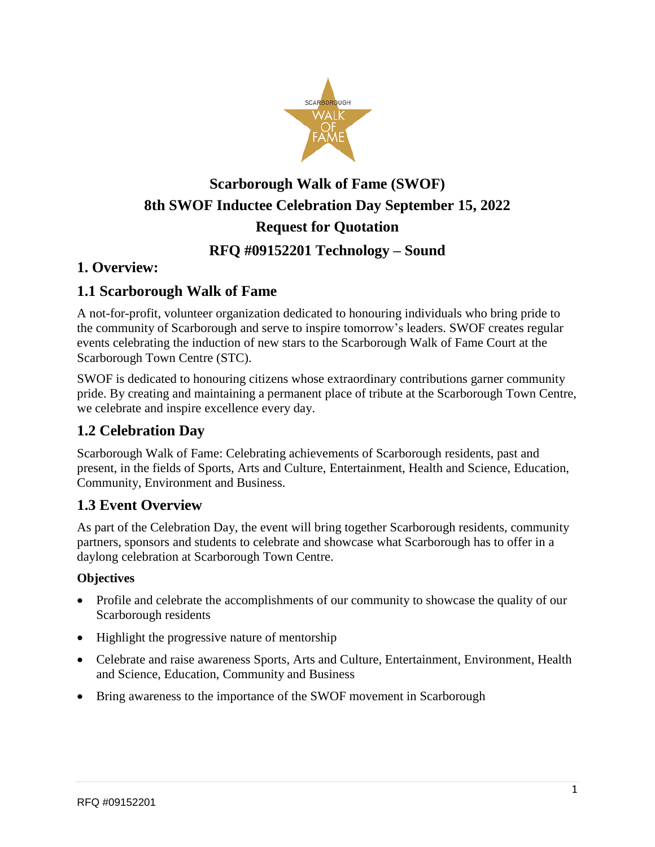

# **Scarborough Walk of Fame (SWOF) 8th SWOF Inductee Celebration Day September 15, 2022 Request for Quotation**

# **RFQ #09152201 Technology – Sound**

## **1. Overview:**

## **1.1 Scarborough Walk of Fame**

A not-for-profit, volunteer organization dedicated to honouring individuals who bring pride to the community of Scarborough and serve to inspire tomorrow's leaders. SWOF creates regular events celebrating the induction of new stars to the Scarborough Walk of Fame Court at the Scarborough Town Centre (STC).

SWOF is dedicated to honouring citizens whose extraordinary contributions garner community pride. By creating and maintaining a permanent place of tribute at the Scarborough Town Centre, we celebrate and inspire excellence every day.

## **1.2 Celebration Day**

Scarborough Walk of Fame: Celebrating achievements of Scarborough residents, past and present, in the fields of Sports, Arts and Culture, Entertainment, Health and Science, Education, Community, Environment and Business.

## **1.3 Event Overview**

As part of the Celebration Day, the event will bring together Scarborough residents, community partners, sponsors and students to celebrate and showcase what Scarborough has to offer in a daylong celebration at Scarborough Town Centre.

#### **Objectives**

- Profile and celebrate the accomplishments of our community to showcase the quality of our Scarborough residents
- Highlight the progressive nature of mentorship
- Celebrate and raise awareness Sports, Arts and Culture, Entertainment, Environment, Health and Science, Education, Community and Business
- Bring awareness to the importance of the SWOF movement in Scarborough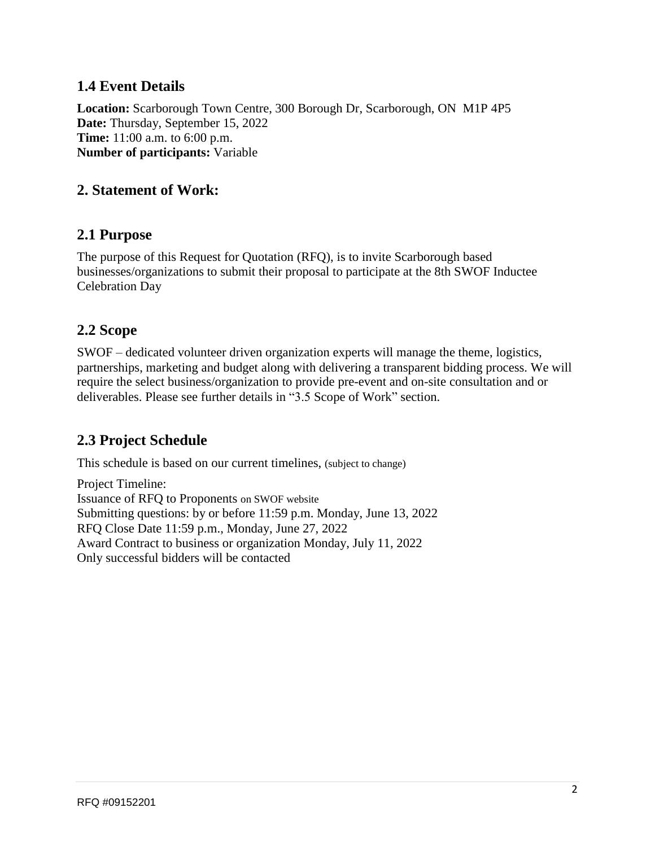## **1.4 Event Details**

**Location:** Scarborough Town Centre, 300 Borough Dr, Scarborough, ON M1P 4P5 **Date:** Thursday, September 15, 2022 **Time:** 11:00 a.m. to 6:00 p.m. **Number of participants:** Variable

## **2. Statement of Work:**

#### **2.1 Purpose**

The purpose of this Request for Quotation (RFQ), is to invite Scarborough based businesses/organizations to submit their proposal to participate at the 8th SWOF Inductee Celebration Day

#### **2.2 Scope**

SWOF – dedicated volunteer driven organization experts will manage the theme, logistics, partnerships, marketing and budget along with delivering a transparent bidding process. We will require the select business/organization to provide pre-event and on-site consultation and or deliverables. Please see further details in "3.5 Scope of Work" section.

## **2.3 Project Schedule**

This schedule is based on our current timelines, (subject to change)

Project Timeline: Issuance of RFQ to Proponents on SWOF website Submitting questions: by or before 11:59 p.m. Monday, June 13, 2022 RFQ Close Date 11:59 p.m., Monday, June 27, 2022 Award Contract to business or organization Monday, July 11, 2022 Only successful bidders will be contacted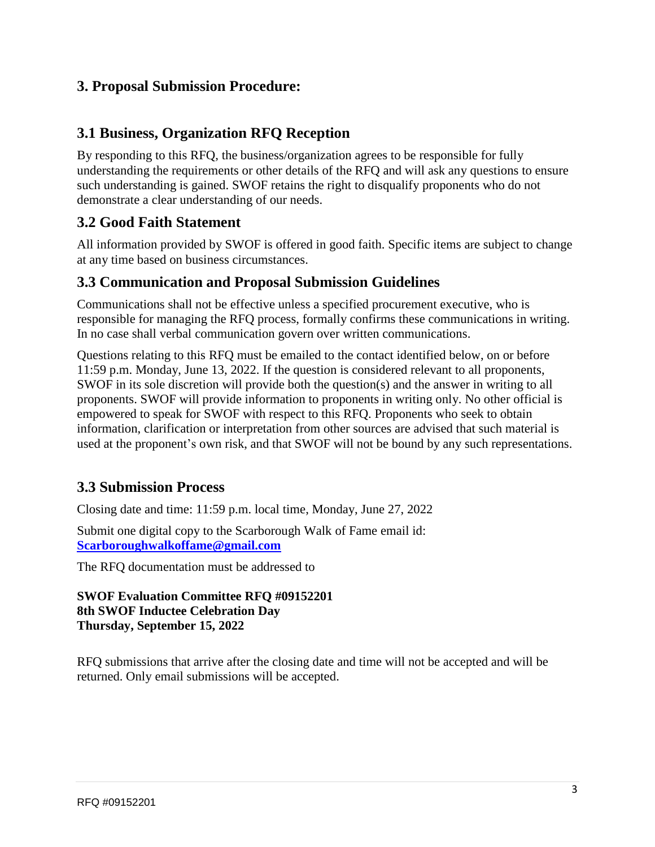## **3. Proposal Submission Procedure:**

## **3.1 Business, Organization RFQ Reception**

By responding to this RFQ, the business/organization agrees to be responsible for fully understanding the requirements or other details of the RFQ and will ask any questions to ensure such understanding is gained. SWOF retains the right to disqualify proponents who do not demonstrate a clear understanding of our needs.

## **3.2 Good Faith Statement**

All information provided by SWOF is offered in good faith. Specific items are subject to change at any time based on business circumstances.

#### **3.3 Communication and Proposal Submission Guidelines**

Communications shall not be effective unless a specified procurement executive, who is responsible for managing the RFQ process, formally confirms these communications in writing. In no case shall verbal communication govern over written communications.

Questions relating to this RFQ must be emailed to the contact identified below, on or before 11:59 p.m. Monday, June 13, 2022. If the question is considered relevant to all proponents, SWOF in its sole discretion will provide both the question(s) and the answer in writing to all proponents. SWOF will provide information to proponents in writing only. No other official is empowered to speak for SWOF with respect to this RFQ. Proponents who seek to obtain information, clarification or interpretation from other sources are advised that such material is used at the proponent's own risk, and that SWOF will not be bound by any such representations.

## **3.3 Submission Process**

Closing date and time: 11:59 p.m. local time, Monday, June 27, 2022

Submit one digital copy to the Scarborough Walk of Fame email id: **[Scarboroughwalkoffame@gmail.com](mailto:Scarboroughwalkoffame@gmail.com)**

The RFQ documentation must be addressed to

#### **SWOF Evaluation Committee RFQ #09152201 8th SWOF Inductee Celebration Day Thursday, September 15, 2022**

RFQ submissions that arrive after the closing date and time will not be accepted and will be returned. Only email submissions will be accepted.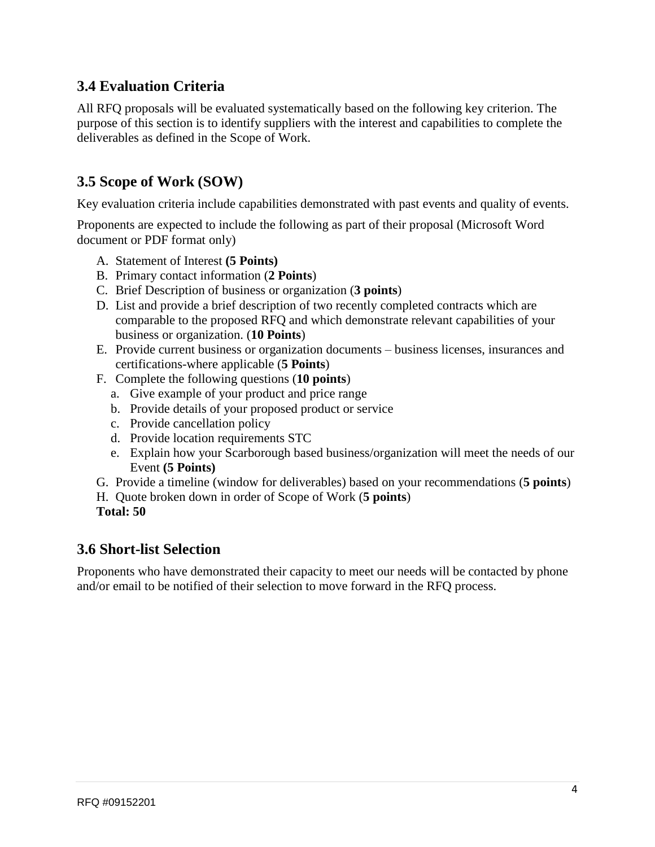## **3.4 Evaluation Criteria**

All RFQ proposals will be evaluated systematically based on the following key criterion. The purpose of this section is to identify suppliers with the interest and capabilities to complete the deliverables as defined in the Scope of Work.

## **3.5 Scope of Work (SOW)**

Key evaluation criteria include capabilities demonstrated with past events and quality of events.

Proponents are expected to include the following as part of their proposal (Microsoft Word document or PDF format only)

- A. Statement of Interest **(5 Points)**
- B. Primary contact information (**2 Points**)
- C. Brief Description of business or organization (**3 points**)
- D. List and provide a brief description of two recently completed contracts which are comparable to the proposed RFQ and which demonstrate relevant capabilities of your business or organization. (**10 Points**)
- E. Provide current business or organization documents business licenses, insurances and certifications-where applicable (**5 Points**)
- F. Complete the following questions (**10 points**)
	- a. Give example of your product and price range
	- b. Provide details of your proposed product or service
	- c. Provide cancellation policy
	- d. Provide location requirements STC
	- e. Explain how your Scarborough based business/organization will meet the needs of our Event **(5 Points)**
- G. Provide a timeline (window for deliverables) based on your recommendations (**5 points**)
- H. Quote broken down in order of Scope of Work (**5 points**)
- **Total: 50**

#### **3.6 Short-list Selection**

Proponents who have demonstrated their capacity to meet our needs will be contacted by phone and/or email to be notified of their selection to move forward in the RFQ process.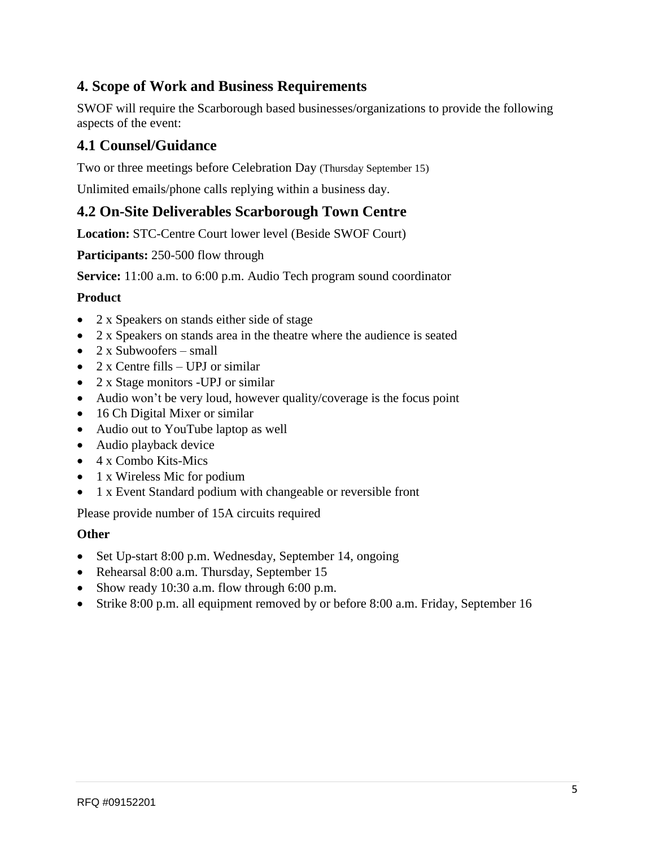## **4. Scope of Work and Business Requirements**

SWOF will require the Scarborough based businesses/organizations to provide the following aspects of the event:

## **4.1 Counsel/Guidance**

Two or three meetings before Celebration Day (Thursday September 15)

Unlimited emails/phone calls replying within a business day.

## **4.2 On-Site Deliverables Scarborough Town Centre**

**Location:** STC-Centre Court lower level (Beside SWOF Court)

**Participants:** 250-500 flow through

**Service:** 11:00 a.m. to 6:00 p.m. Audio Tech program sound coordinator

#### **Product**

- 2 x Speakers on stands either side of stage
- 2 x Speakers on stands area in the theatre where the audience is seated
- $2 \times$  Subwoofers small
- 2 x Centre fills UPJ or similar
- 2 x Stage monitors -UPJ or similar
- Audio won't be very loud, however quality/coverage is the focus point
- 16 Ch Digital Mixer or similar
- Audio out to YouTube laptop as well
- Audio playback device
- 4 x Combo Kits-Mics
- 1 x Wireless Mic for podium
- 1 x Event Standard podium with changeable or reversible front

Please provide number of 15A circuits required

#### **Other**

- Set Up-start 8:00 p.m. Wednesday, September 14, ongoing
- Rehearsal 8:00 a.m. Thursday, September 15
- Show ready 10:30 a.m. flow through 6:00 p.m.
- Strike 8:00 p.m. all equipment removed by or before 8:00 a.m. Friday, September 16